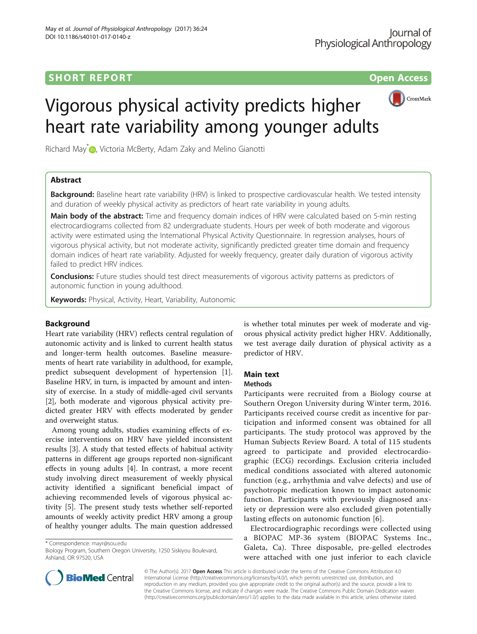# SHORT REPORT **THE CONSTRUCTION CONSTRUCTS**  $\blacksquare$



# Vigorous physical activity predicts higher heart rate variability among younger adults

Richard May<sup>\*</sup> **D**[,](http://orcid.org/0000-0001-8021-5105) Victoria McBerty, Adam Zaky and Melino Gianotti

# Abstract

Background: Baseline heart rate variability (HRV) is linked to prospective cardiovascular health. We tested intensity and duration of weekly physical activity as predictors of heart rate variability in young adults.

Main body of the abstract: Time and frequency domain indices of HRV were calculated based on 5-min resting electrocardiograms collected from 82 undergraduate students. Hours per week of both moderate and vigorous activity were estimated using the International Physical Activity Questionnaire. In regression analyses, hours of vigorous physical activity, but not moderate activity, significantly predicted greater time domain and frequency domain indices of heart rate variability. Adjusted for weekly frequency, greater daily duration of vigorous activity failed to predict HRV indices.

**Conclusions:** Future studies should test direct measurements of vigorous activity patterns as predictors of autonomic function in young adulthood.

Keywords: Physical, Activity, Heart, Variability, Autonomic

## Background

Heart rate variability (HRV) reflects central regulation of autonomic activity and is linked to current health status and longer-term health outcomes. Baseline measurements of heart rate variability in adulthood, for example, predict subsequent development of hypertension [\[1](#page-3-0)]. Baseline HRV, in turn, is impacted by amount and intensity of exercise. In a study of middle-aged civil servants [[2\]](#page-3-0), both moderate and vigorous physical activity predicted greater HRV with effects moderated by gender and overweight status.

Among young adults, studies examining effects of exercise interventions on HRV have yielded inconsistent results [[3\]](#page-3-0). A study that tested effects of habitual activity patterns in different age groups reported non-significant effects in young adults [[4\]](#page-3-0). In contrast, a more recent study involving direct measurement of weekly physical activity identified a significant beneficial impact of achieving recommended levels of vigorous physical activity [\[5](#page-3-0)]. The present study tests whether self-reported amounts of weekly activity predict HRV among a group of healthy younger adults. The main question addressed

\* Correspondence: [mayr@sou.edu](mailto:mayr@sou.edu)

is whether total minutes per week of moderate and vigorous physical activity predict higher HRV. Additionally, we test average daily duration of physical activity as a predictor of HRV.

## Main text

## Methods

Participants were recruited from a Biology course at Southern Oregon University during Winter term, 2016. Participants received course credit as incentive for participation and informed consent was obtained for all participants. The study protocol was approved by the Human Subjects Review Board. A total of 115 students agreed to participate and provided electrocardiographic (ECG) recordings. Exclusion criteria included medical conditions associated with altered autonomic function (e.g., arrhythmia and valve defects) and use of psychotropic medication known to impact autonomic function. Participants with previously diagnosed anxiety or depression were also excluded given potentially lasting effects on autonomic function [[6\]](#page-3-0).

Electrocardiographic recordings were collected using a BIOPAC MP-36 system (BIOPAC Systems Inc., Galeta, Ca). Three disposable, pre-gelled electrodes were attached with one just inferior to each clavicle



© The Author(s). 2017 **Open Access** This article is distributed under the terms of the Creative Commons Attribution 4.0 International License [\(http://creativecommons.org/licenses/by/4.0/](http://creativecommons.org/licenses/by/4.0/)), which permits unrestricted use, distribution, and reproduction in any medium, provided you give appropriate credit to the original author(s) and the source, provide a link to the Creative Commons license, and indicate if changes were made. The Creative Commons Public Domain Dedication waiver [\(http://creativecommons.org/publicdomain/zero/1.0/](http://creativecommons.org/publicdomain/zero/1.0/)) applies to the data made available in this article, unless otherwise stated.

Biology Program, Southern Oregon University, 1250 Siskiyou Boulevard, Ashland, OR 97520, USA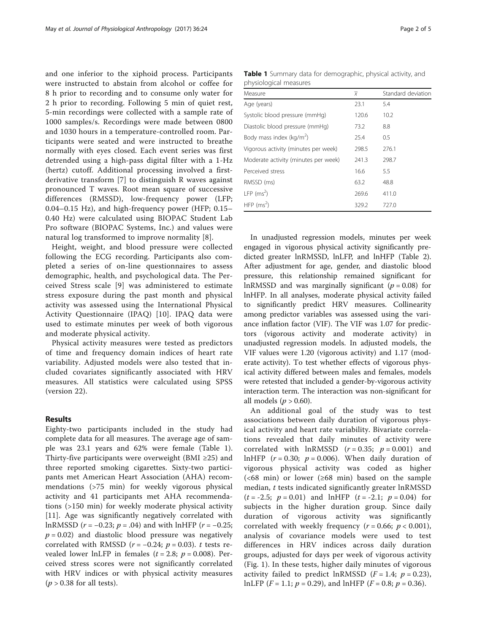and one inferior to the xiphoid process. Participants were instructed to abstain from alcohol or coffee for 8 h prior to recording and to consume only water for 2 h prior to recording. Following 5 min of quiet rest, 5-min recordings were collected with a sample rate of 1000 samples/s. Recordings were made between 0800 and 1030 hours in a temperature-controlled room. Participants were seated and were instructed to breathe normally with eyes closed. Each event series was first detrended using a high-pass digital filter with a 1-Hz (hertz) cutoff. Additional processing involved a firstderivative transform [[7\]](#page-3-0) to distinguish R waves against pronounced T waves. Root mean square of successive differences (RMSSD), low-frequency power (LFP; 0.04–0.15 Hz), and high-frequency power (HFP; 0.15– 0.40 Hz) were calculated using BIOPAC Student Lab Pro software (BIOPAC Systems, Inc.) and values were natural log transformed to improve normality [[8](#page-3-0)].

Height, weight, and blood pressure were collected following the ECG recording. Participants also completed a series of on-line questionnaires to assess demographic, health, and psychological data. The Perceived Stress scale [[9](#page-3-0)] was administered to estimate stress exposure during the past month and physical activity was assessed using the International Physical Activity Questionnaire (IPAQ) [[10](#page-3-0)]. IPAQ data were used to estimate minutes per week of both vigorous and moderate physical activity.

Physical activity measures were tested as predictors of time and frequency domain indices of heart rate variability. Adjusted models were also tested that included covariates significantly associated with HRV measures. All statistics were calculated using SPSS (version 22).

## Results

Eighty-two participants included in the study had complete data for all measures. The average age of sample was 23.1 years and 62% were female (Table 1). Thirty-five participants were overweight (BMI ≥25) and three reported smoking cigarettes. Sixty-two participants met American Heart Association (AHA) recommendations (>75 min) for weekly vigorous physical activity and 41 participants met AHA recommendations (>150 min) for weekly moderate physical activity [[11\]](#page-3-0). Age was significantly negatively correlated with lnRMSSD ( $r = -0.23$ ;  $p = .04$ ) and with lnHFP ( $r = -0.25$ ;  $p = 0.02$ ) and diastolic blood pressure was negatively correlated with RMSSD ( $r = -0.24$ ;  $p = 0.03$ ). t tests revealed lower lnLFP in females ( $t = 2.8$ ;  $p = 0.008$ ). Perceived stress scores were not significantly correlated with HRV indices or with physical activity measures  $(p > 0.38$  for all tests).

Table 1 Summary data for demographic, physical activity, and physiological measures

| Measure                              | $\overline{X}$ | Standard deviation |
|--------------------------------------|----------------|--------------------|
| Age (years)                          | 23.1           | 5.4                |
| Systolic blood pressure (mmHg)       | 120.6          | 10.2               |
| Diastolic blood pressure (mmHq)      | 73.2           | 8.8                |
| Body mass index ( $\text{kg/m}^2$ )  | 25.4           | 0.5                |
| Vigorous activity (minutes per week) | 298.5          | 276.1              |
| Moderate activity (minutes per week) | 241.3          | 298.7              |
| Perceived stress                     | 16.6           | 5.5                |
| RMSSD (ms)                           | 63.2           | 48.8               |
| LFP $(ms^2)$                         | 269.6          | 411.0              |
| HFP $(ms^2)$                         | 329.2          | 727.0              |

In unadjusted regression models, minutes per week engaged in vigorous physical activity significantly predicted greater lnRMSSD, lnLFP, and lnHFP (Table [2](#page-2-0)). After adjustment for age, gender, and diastolic blood pressure, this relationship remained significant for lnRMSSD and was marginally significant ( $p = 0.08$ ) for lnHFP. In all analyses, moderate physical activity failed to significantly predict HRV measures. Collinearity among predictor variables was assessed using the variance inflation factor (VIF). The VIF was 1.07 for predictors (vigorous activity and moderate activity) in unadjusted regression models. In adjusted models, the VIF values were 1.20 (vigorous activity) and 1.17 (moderate activity). To test whether effects of vigorous physical activity differed between males and females, models were retested that included a gender-by-vigorous activity interaction term. The interaction was non-significant for all models ( $p > 0.60$ ).

An additional goal of the study was to test associations between daily duration of vigorous physical activity and heart rate variability. Bivariate correlations revealed that daily minutes of activity were correlated with lnRMSSD  $(r = 0.35; p = 0.001)$  and lnHFP ( $r = 0.30$ ;  $p = 0.006$ ). When daily duration of vigorous physical activity was coded as higher  $(**68** min)$  or lower ( $\geq 68$  min) based on the sample median,  $t$  tests indicated significantly greater lnRMSSD  $(t = -2.5; p = 0.01)$  and lnHFP  $(t = -2.1; p = 0.04)$  for subjects in the higher duration group. Since daily duration of vigorous activity was significantly correlated with weekly frequency  $(r = 0.66; p < 0.001)$ , analysis of covariance models were used to test differences in HRV indices across daily duration groups, adjusted for days per week of vigorous activity (Fig. [1](#page-2-0)). In these tests, higher daily minutes of vigorous activity failed to predict lnRMSSD  $(F = 1.4; p = 0.23)$ , lnLFP ( $F = 1.1$ ;  $p = 0.29$ ), and lnHFP ( $F = 0.8$ ;  $p = 0.36$ ).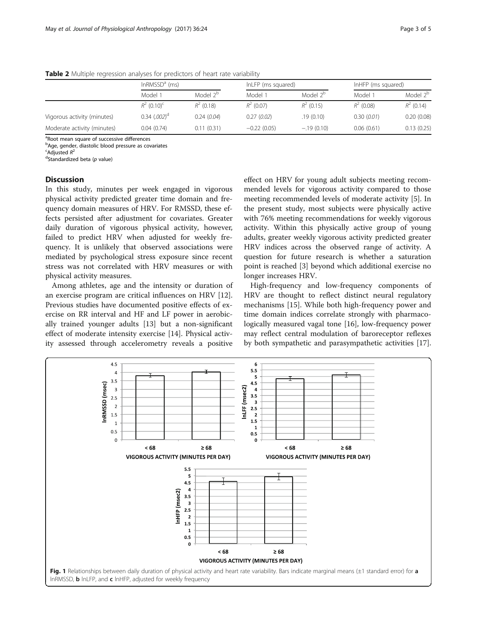|                             | $InRMSSDa$ (ms)           |                      | InLFP (ms squared) |                   | InHFP (ms squared) |                      |
|-----------------------------|---------------------------|----------------------|--------------------|-------------------|--------------------|----------------------|
|                             | Model 1                   | Model 2 <sup>b</sup> | Model 1            | Model $2^{\circ}$ | Model 1            | Model 2 <sup>b</sup> |
|                             | $R^2$ (0.10) <sup>c</sup> | $R^2$ (0.18)         | $R^2$ (0.07)       | $R^2$ (0.15)      | $R^2$ (0.08)       | $R^2$ (0.14)         |
| Vigorous activity (minutes) | 0.34 (.002) <sup>d</sup>  | 0.24(0.04)           | 0.27(0.02)         | .19(0.10)         | 0.30(0.01)         | 0.20(0.08)           |
| Moderate activity (minutes) | 0.04(0.74)                | 0.11(0.31)           | $-0.22(0.05)$      | $-.19(0.10)$      | 0.06(0.61)         | 0.13(0.25)           |

<span id="page-2-0"></span>Table 2 Multiple regression analyses for predictors of heart rate variability

<sup>a</sup>Root mean square of successive differences

<sup>b</sup>Age, gender, diastolic blood pressure as covariates

<sup>c</sup>Adjusted *R<sup>2</sup>*<br><sup>d</sup>Standardize

<sup>d</sup>Standardized beta (p value)

## **Discussion**

In this study, minutes per week engaged in vigorous physical activity predicted greater time domain and frequency domain measures of HRV. For RMSSD, these effects persisted after adjustment for covariates. Greater daily duration of vigorous physical activity, however, failed to predict HRV when adjusted for weekly frequency. It is unlikely that observed associations were mediated by psychological stress exposure since recent stress was not correlated with HRV measures or with physical activity measures.

Among athletes, age and the intensity or duration of an exercise program are critical influences on HRV [\[12](#page-3-0)]. Previous studies have documented positive effects of exercise on RR interval and HF and LF power in aerobically trained younger adults [[13\]](#page-3-0) but a non-significant effect of moderate intensity exercise [\[14\]](#page-3-0). Physical activity assessed through accelerometry reveals a positive

effect on HRV for young adult subjects meeting recommended levels for vigorous activity compared to those meeting recommended levels of moderate activity [\[5](#page-3-0)]. In the present study, most subjects were physically active with 76% meeting recommendations for weekly vigorous activity. Within this physically active group of young adults, greater weekly vigorous activity predicted greater HRV indices across the observed range of activity. A question for future research is whether a saturation point is reached [[3\]](#page-3-0) beyond which additional exercise no longer increases HRV.

High-frequency and low-frequency components of HRV are thought to reflect distinct neural regulatory mechanisms [[15\]](#page-3-0). While both high-frequency power and time domain indices correlate strongly with pharmacologically measured vagal tone [\[16\]](#page-3-0), low-frequency power may reflect central modulation of baroreceptor reflexes by both sympathetic and parasympathetic activities [\[17](#page-3-0)].

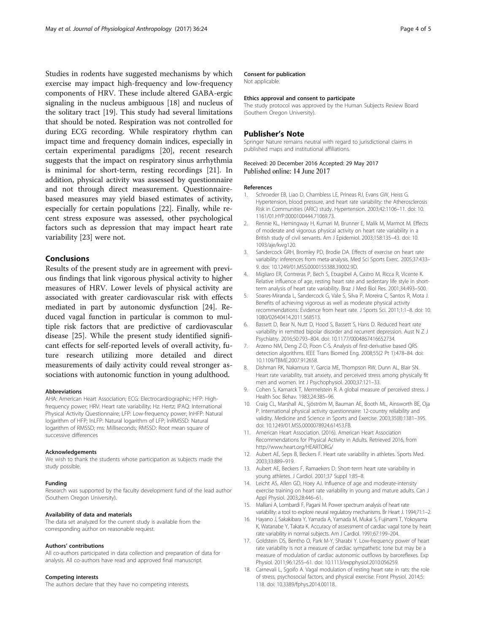<span id="page-3-0"></span>Studies in rodents have suggested mechanisms by which exercise may impact high-frequency and low-frequency components of HRV. These include altered GABA-ergic signaling in the nucleus ambiguous [18] and nucleus of the solitary tract [[19\]](#page-4-0). This study had several limitations that should be noted. Respiration was not controlled for during ECG recording. While respiratory rhythm can impact time and frequency domain indices, especially in certain experimental paradigms [[20\]](#page-4-0), recent research suggests that the impact on respiratory sinus arrhythmia is minimal for short-term, resting recordings [\[21](#page-4-0)]. In addition, physical activity was assessed by questionnaire and not through direct measurement. Questionnairebased measures may yield biased estimates of activity, especially for certain populations [\[22](#page-4-0)]. Finally, while recent stress exposure was assessed, other psychological factors such as depression that may impact heart rate variability [[23](#page-4-0)] were not.

# Conclusions

Results of the present study are in agreement with previous findings that link vigorous physical activity to higher measures of HRV. Lower levels of physical activity are associated with greater cardiovascular risk with effects mediated in part by autonomic dysfunction [[24\]](#page-4-0). Reduced vagal function in particular is common to multiple risk factors that are predictive of cardiovascular disease [[25\]](#page-4-0). While the present study identified significant effects for self-reported levels of overall activity, future research utilizing more detailed and direct measurements of daily activity could reveal stronger associations with autonomic function in young adulthood.

#### **Abbreviations**

AHA: American Heart Association; ECG: Electrocardiographic; HFP: Highfrequency power; HRV: Heart rate variability; Hz: Hertz; IPAQ: International Physical Activity Questionnaire; LFP: Low-frequency power; lnHFP: Natural logarithm of HFP; lnLFP: Natural logarithm of LFP; lnRMSSD: Natural logarithm of RMSSD; ms: Milliseconds; RMSSD: Root mean square of successive differences

#### Acknowledgements

We wish to thank the students whose participation as subjects made the study possible.

#### Funding

Research was supported by the faculty development fund of the lead author (Southern Oregon University).

#### Availability of data and materials

The data set analyzed for the current study is available from the corresponding author on reasonable request.

#### Authors' contributions

All co-authors participated in data collection and preparation of data for analysis. All co-authors have read and approved final manuscript.

#### Competing interests

The authors declare that they have no competing interests.

## Consent for publication

Not applicable.

#### Ethics approval and consent to participate

The study protocol was approved by the Human Subjects Review Board (Southern Oregon University).

#### Publisher's Note

Springer Nature remains neutral with regard to jurisdictional claims in published maps and institutional affiliations.

## Received: 20 December 2016 Accepted: 29 May 2017 Published online: 14 June 2017

#### References

- 1. Schroeder EB, Liao D, Chambless LE, Prineas RJ, Evans GW, Heiss G. Hypertension, blood pressure, and heart rate variability: the Atherosclerosis Risk in Communities (ARIC) study. Hypertension. 2003;42:1106–11. doi: [10.](http://dx.doi.org/10.1161/01.HYP.0000100444.71069.73) [1161/01.HYP.0000100444.71069.73.](http://dx.doi.org/10.1161/01.HYP.0000100444.71069.73)
- 2. Rennie KL, Hemingway H, Kumari M, Brunner E, Malik M, Marmot M. Effects of moderate and vigorous physical activity on heart rate variability in a British study of civil servants. Am J Epidemiol. 2003;158:135–43. doi: [10.](http://dx.doi.org/10.1093/aje/kwg120) [1093/aje/kwg120.](http://dx.doi.org/10.1093/aje/kwg120)
- 3. Sandercock GRH, Bromley PD, Brodie DA. Effects of exercise on heart rate variability: inferences from meta-analysis. Med Sci Sports Exerc. 2005;37:433– 9. doi: [10.1249/01.MSS.0000155388.39002.9D.](http://dx.doi.org/10.1249/01.MSS.0000155388.39002.9D)
- 4. Migliaro ER, Contreras P, Bech S, Etxagibel A, Castro M, Ricca R, Vicente K. Relative influence of age, resting heart rate and sedentary life style in shortterm analysis of heart rate variability. Braz J Med Biol Res. 2001;34:493–500.
- 5. Soares-Miranda L, Sandercock G, Vale S, Silva P, Moreira C, Santos R, Mota J. Benefits of achieving vigorous as well as moderate physical activity recommendations: Evidence from heart rate. J Sports Sci. 2011;1:1–8. doi: [10.](http://dx.doi.org/10.1080/02640414.2011.568513) [1080/02640414.2011.568513.](http://dx.doi.org/10.1080/02640414.2011.568513)
- 6. Bassett D, Bear N, Nutt D, Hood S, Bassett S, Hans D. Reduced heart rate variability in remitted bipolar disorder and recurrent depression. Aust N Z J Psychiatry. 2016;50:793–804. doi: [10.1177/0004867416652734.](http://dx.doi.org/10.1177/0004867416652734)
- 7. Arzeno NM, Deng Z-D, Poon C-S. Analysis of first-derivative based QRS detection algorithms. IEEE Trans Biomed Eng. 2008;55(2 Pt 1):478–84. doi: [10.1109/TBME.2007.912658.](http://dx.doi.org/10.1109/TBME.2007.912658)
- Dishman RK, Nakamura Y, Garcia ME, Thompson RW, Dunn AL, Blair SN. Heart rate variability, trait anxiety, and perceived stress among physically fit men and women. Int J Psychophysiol. 2000;37:121–33.
- 9. Cohen S, Kamarck T, Mermelstein R. A global measure of perceived stress. J Health Soc Behav. 1983;24:385–96.
- 10. Craig CL, Marshall AL, Sjöström M, Bauman AE, Booth ML, Ainsworth BE, Oja P. International physical activity questionnaire: 12-country reliability and validity. Medicine and Science in Sports and Exercise. 2003;35(8):1381–395. doi: [10.1249/01.MSS.0000078924.61453.FB.](http://dx.doi.org/10.1249/01.MSS.0000078924.61453.FB)
- 11. American Heart Association. (2016). American Heart Association Recommendations for Physical Activity in Adults. Retrieved 2016, from http://www.heart.org/HEARTORG/
- 12. Aubert AE, Seps B, Beckers F. Heart rate variability in athletes. Sports Med. 2003;33:889–919.
- 13. Aubert AE, Beckers F, Ramaekers D. Short-term heart rate variability in young athletes. J Cardiol. 2001;37 Suppl 1:85–8.
- 14. Leicht AS, Allen GD, Hoey AJ. Influence of age and moderate-intensity exercise training on heart rate variability in young and mature adults. Can J Appl Physiol. 2003;28:446–61.
- 15. Malliani A, Lombardi F, Pagani M. Power spectrum analysis of heart rate variability: a tool to explore neural regulatory mechanisms. Br Heart J. 1994;71:1–2.
- 16. Hayano J, Sakakibara Y, Yamada A, Yamada M, Mukai S, Fujinami T, Yokoyama K, Watanabe Y, Takata K. Accuracy of assessment of cardiac vagal tone by heart rate variability in normal subjects. Am J Cardiol. 1991;67:199–204.
- 17. Goldstein DS, Bentho O, Park M-Y, Sharabi Y. Low-frequency power of heart rate variability is not a measure of cardiac sympathetic tone but may be a measure of modulation of cardiac autonomic outflows by baroreflexes. Exp Physiol. 2011;96:1255–61. doi: [10.1113/expphysiol.2010.056259.](http://dx.doi.org/10.1113/expphysiol.2010.056259)
- 18. Carnevali L, Sgoifo A. Vagal modulation of resting heart rate in rats: the role of stress, psychosocial factors, and physical exercise. Front Physiol. 2014;5: 118. doi: [10.3389/fphys.2014.00118](http://dx.doi.org/10.3389/fphys.2014.00118).